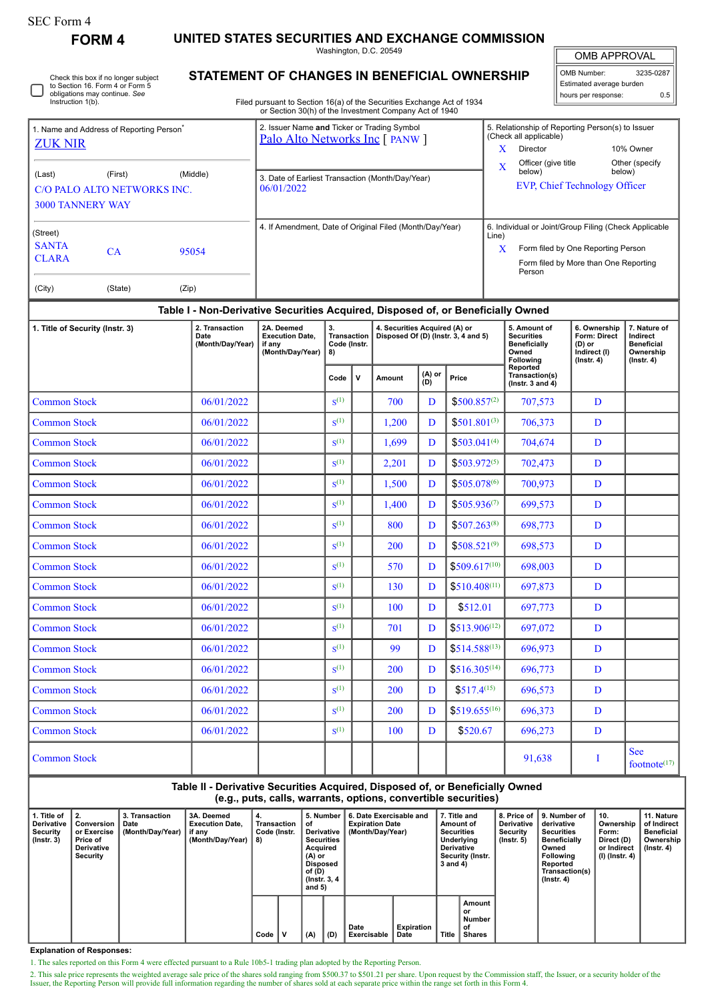| SEC Form 4 |
|------------|
|------------|

Instruction 1(b).

**FORM 4 UNITED STATES SECURITIES AND EXCHANGE COMMISSION**

Washington, D.C. 20549

OMB APPROVAL

 $\mathbb{I}$ 

| OMB Number:              | 3235-0287 |
|--------------------------|-----------|
| Estimated average burden |           |
| hours per response:      | 0.5       |

**STATEMENT OF CHANGES IN BENEFICIAL OWNERSHIP** Check this box if no longer subject to Section 16. Form 4 or Form 5 obligations may continue. *See*

Filed pursuant to Section 16(a) of the Securities Exchange Act of 1934 or Section 30(h) of the Investment Company Act of 1940

| 1. Name and Address of Reporting Person <sup>®</sup> |           |          | 2. Issuer Name and Ticker or Trading Symbol<br>Palo Alto Networks Inc [ PANW ] |       | 5. Relationship of Reporting Person(s) to Issuer<br>(Check all applicable) |                          |  |  |  |
|------------------------------------------------------|-----------|----------|--------------------------------------------------------------------------------|-------|----------------------------------------------------------------------------|--------------------------|--|--|--|
| <b>ZUK NIR</b>                                       |           |          |                                                                                | x     | Director                                                                   | 10% Owner                |  |  |  |
| (Last)                                               | (First)   | (Middle) |                                                                                | X     | Officer (give title)<br>below)                                             | Other (specify<br>below) |  |  |  |
| C/O PALO ALTO NETWORKS INC.                          |           |          | 3. Date of Earliest Transaction (Month/Day/Year)<br>06/01/2022                 |       | <b>EVP, Chief Technology Officer</b>                                       |                          |  |  |  |
| <b>3000 TANNERY WAY</b>                              |           |          |                                                                                |       |                                                                            |                          |  |  |  |
| (Street)                                             |           |          | 4. If Amendment, Date of Original Filed (Month/Day/Year)                       | Line) | 6. Individual or Joint/Group Filing (Check Applicable                      |                          |  |  |  |
| <b>SANTA</b>                                         | <b>CA</b> | 95054    |                                                                                | x     | Form filed by One Reporting Person                                         |                          |  |  |  |
| <b>CLARA</b>                                         |           |          |                                                                                |       | Form filed by More than One Reporting<br>Person                            |                          |  |  |  |
| (City)                                               | (State)   | (Zip)    |                                                                                |       |                                                                            |                          |  |  |  |

## **Table I - Non-Derivative Securities Acquired, Disposed of, or Beneficially Owned**

| 1. Title of Security (Instr. 3) | 2. Transaction<br>Date<br>(Month/Day/Year) | 2A. Deemed<br><b>Execution Date.</b><br>if any<br>(Month/Day/Year) | 3.<br><b>Transaction</b><br>Code (Instr.<br>8) |   | 4. Securities Acquired (A) or<br>Disposed Of (D) (Instr. 3, 4 and 5) |               |                   | 5. Amount of<br><b>Securities</b><br><b>Beneficially</b><br>Owned<br>Following | 6. Ownership<br>Form: Direct<br>(D) or<br>Indirect (I)<br>$($ Instr. 4 $)$ | 7. Nature of<br>Indirect<br><b>Beneficial</b><br>Ownership<br>$($ Instr. 4 $)$ |
|---------------------------------|--------------------------------------------|--------------------------------------------------------------------|------------------------------------------------|---|----------------------------------------------------------------------|---------------|-------------------|--------------------------------------------------------------------------------|----------------------------------------------------------------------------|--------------------------------------------------------------------------------|
|                                 |                                            |                                                                    | Code                                           | v | Amount                                                               | (A) or<br>(D) | Price             | Reported<br>Transaction(s)<br>(Instr. $3$ and $4$ )                            |                                                                            |                                                                                |
| <b>Common Stock</b>             | 06/01/2022                                 |                                                                    | $S^{(1)}$                                      |   | 700                                                                  | D             | $$500.857^{(2)}$  | 707,573                                                                        | D                                                                          |                                                                                |
| <b>Common Stock</b>             | 06/01/2022                                 |                                                                    | $S^{(1)}$                                      |   | 1,200                                                                | D             | $$501.801^{(3)}$  | 706,373                                                                        | $\mathbf{D}$                                                               |                                                                                |
| <b>Common Stock</b>             | 06/01/2022                                 |                                                                    | $S^{(1)}$                                      |   | 1.699                                                                | D             | $$503.041^{(4)}$  | 704,674                                                                        | D                                                                          |                                                                                |
| <b>Common Stock</b>             | 06/01/2022                                 |                                                                    | $S^{(1)}$                                      |   | 2,201                                                                | D             | $$503.972^{(5)}$  | 702,473                                                                        | D                                                                          |                                                                                |
| <b>Common Stock</b>             | 06/01/2022                                 |                                                                    | $S^{(1)}$                                      |   | 1,500                                                                | D             | $$505.078^{(6)}$  | 700,973                                                                        | D                                                                          |                                                                                |
| <b>Common Stock</b>             | 06/01/2022                                 |                                                                    | $S^{(1)}$                                      |   | 1,400                                                                | D             | $$505.936^{(7)}$  | 699,573                                                                        | D                                                                          |                                                                                |
| <b>Common Stock</b>             | 06/01/2022                                 |                                                                    | $S^{(1)}$                                      |   | 800                                                                  | D             | $$507.263^{(8)}$  | 698,773                                                                        | D                                                                          |                                                                                |
| <b>Common Stock</b>             | 06/01/2022                                 |                                                                    | $\mathbf{S}^{(1)}$                             |   | 200                                                                  | D             | $$508.521^{(9)}$  | 698,573                                                                        | D                                                                          |                                                                                |
| <b>Common Stock</b>             | 06/01/2022                                 |                                                                    | $S^{(1)}$                                      |   | 570                                                                  | D             | $$509.617^{(10)}$ | 698,003                                                                        | D                                                                          |                                                                                |
| <b>Common Stock</b>             | 06/01/2022                                 |                                                                    | $S^{(1)}$                                      |   | 130                                                                  | D             | $$510.408^{(11)}$ | 697,873                                                                        | D                                                                          |                                                                                |
| <b>Common Stock</b>             | 06/01/2022                                 |                                                                    | $\mathbf{S}^{(1)}$                             |   | 100                                                                  | D             | \$512.01          | 697,773                                                                        | D                                                                          |                                                                                |
| <b>Common Stock</b>             | 06/01/2022                                 |                                                                    | $S^{(1)}$                                      |   | 701                                                                  | D             | $$513.906^{(12)}$ | 697,072                                                                        | D                                                                          |                                                                                |
| <b>Common Stock</b>             | 06/01/2022                                 |                                                                    | $\mathbf{S}^{(1)}$                             |   | 99                                                                   | D             | $$514.588^{(13)}$ | 696,973                                                                        | D                                                                          |                                                                                |
| <b>Common Stock</b>             | 06/01/2022                                 |                                                                    | $S^{(1)}$                                      |   | 200                                                                  | D             | $$516.305^{(14)}$ | 696,773                                                                        | D                                                                          |                                                                                |
| <b>Common Stock</b>             | 06/01/2022                                 |                                                                    | $S^{(1)}$                                      |   | 200                                                                  | D             | $$517.4^{(15)}$   | 696,573                                                                        | D                                                                          |                                                                                |
| <b>Common Stock</b>             | 06/01/2022                                 |                                                                    | $\mathbf{S}^{(1)}$                             |   | 200                                                                  | D             | $$519.655^{(16)}$ | 696,373                                                                        | D                                                                          |                                                                                |
| <b>Common Stock</b>             | 06/01/2022                                 |                                                                    | $S^{(1)}$                                      |   | 100                                                                  | D             | \$520.67          | 696,273                                                                        | D                                                                          |                                                                                |
| <b>Common Stock</b>             |                                            |                                                                    |                                                |   |                                                                      |               |                   | 91,638                                                                         | I                                                                          | <b>See</b><br>footnote <sup><math>(17)</math></sup>                            |

**Table II - Derivative Securities Acquired, Disposed of, or Beneficially Owned (e.g., puts, calls, warrants, options, convertible securities)**

| l. Title of<br><b>Derivative</b><br>Security<br>$($ lnstr. 3 $)$ | Conversion  <br>or Exercise<br>Price of<br>Derivative<br>Security | 3. Transaction<br>Date<br>(Month/Day/Year) | 3A. Deemed<br><b>Execution Date.</b><br>if any<br>(Month/Day/Year) | 4.<br>Transaction<br>Code (Instr.<br>8) |  | 5. Number<br>οf<br>Derivative<br><b>Securities</b><br>Acquired<br>(A) or<br><b>Disposed</b><br>of (D)<br>(Instr. 3, 4)<br>and $5)$ |     | 6. Date Exercisable and<br><b>Expiration Date</b><br>(Month/Day/Year) |                           | 7. Title and<br>Amount of<br>Securities<br>Underlying<br><b>Derivative</b><br>Security (Instr.<br>3 and 4) |                                        | 8. Price of<br><b>Derivative</b><br>Security<br>(Instr. 5) | 9. Number of<br>derivative<br><b>Securities</b><br><b>Beneficially</b><br>Owned<br><b>Following</b><br>Reported<br>Transaction(s)<br>$($ lnstr. 4 $)$ | 10.<br>Ownership<br>Form:<br>Direct (D)<br>or Indirect<br>(I) (Instr. 4) | 11. Nature<br>of Indirect<br>Beneficial<br>Ownership<br>$($ lnstr. 4 $)$ |
|------------------------------------------------------------------|-------------------------------------------------------------------|--------------------------------------------|--------------------------------------------------------------------|-----------------------------------------|--|------------------------------------------------------------------------------------------------------------------------------------|-----|-----------------------------------------------------------------------|---------------------------|------------------------------------------------------------------------------------------------------------|----------------------------------------|------------------------------------------------------------|-------------------------------------------------------------------------------------------------------------------------------------------------------|--------------------------------------------------------------------------|--------------------------------------------------------------------------|
|                                                                  |                                                                   |                                            |                                                                    | Code                                    |  | (A)                                                                                                                                | (D) | Date<br><b>Exercisable</b>                                            | <b>Expiration</b><br>Date | <b>Title</b>                                                                                               | Amount<br>or<br>Number<br>οf<br>Shares |                                                            |                                                                                                                                                       |                                                                          |                                                                          |

**Explanation of Responses:**

1. The sales reported on this Form 4 were effected pursuant to a Rule 10b5-1 trading plan adopted by the Reporting Person.

2. This sale price represents the weighted average sale price of the shares sold ranging from \$500.37 to \$501.21 per share. Upon request by the Commission staff, the Issuer, or a security holder of the Issuer, the Reporting Person will provide full information regarding the number of shares sold at each separate price within the range set forth in this Form 4.